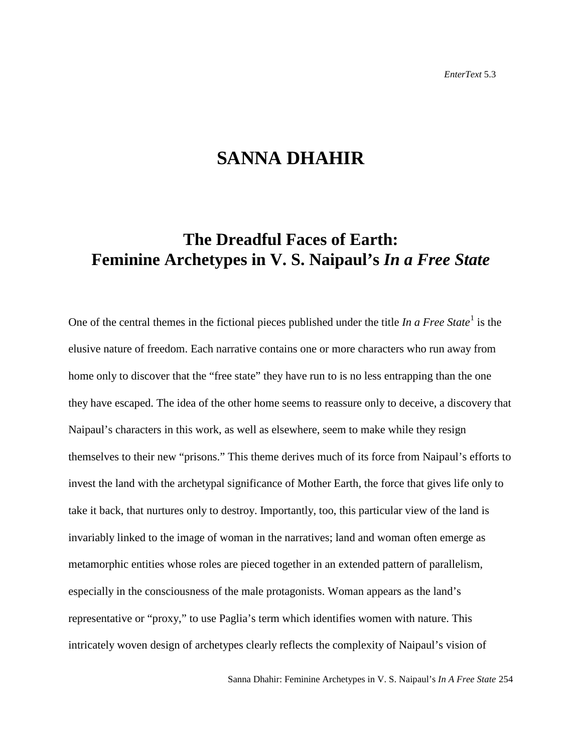# **SANNA DHAHIR**

# **The Dreadful Faces of Earth: Feminine Archetypes in V. S. Naipaul's** *In a Free State*

One of the central themes in the fictional pieces published under the title *In a Free State*<sup>[1](#page-15-0)</sup> is the elusive nature of freedom. Each narrative contains one or more characters who run away from home only to discover that the "free state" they have run to is no less entrapping than the one they have escaped. The idea of the other home seems to reassure only to deceive, a discovery that Naipaul's characters in this work, as well as elsewhere, seem to make while they resign themselves to their new "prisons." This theme derives much of its force from Naipaul's efforts to invest the land with the archetypal significance of Mother Earth, the force that gives life only to take it back, that nurtures only to destroy. Importantly, too, this particular view of the land is invariably linked to the image of woman in the narratives; land and woman often emerge as metamorphic entities whose roles are pieced together in an extended pattern of parallelism, especially in the consciousness of the male protagonists. Woman appears as the land's representative or "proxy," to use Paglia's term which identifies women with nature. This intricately woven design of archetypes clearly reflects the complexity of Naipaul's vision of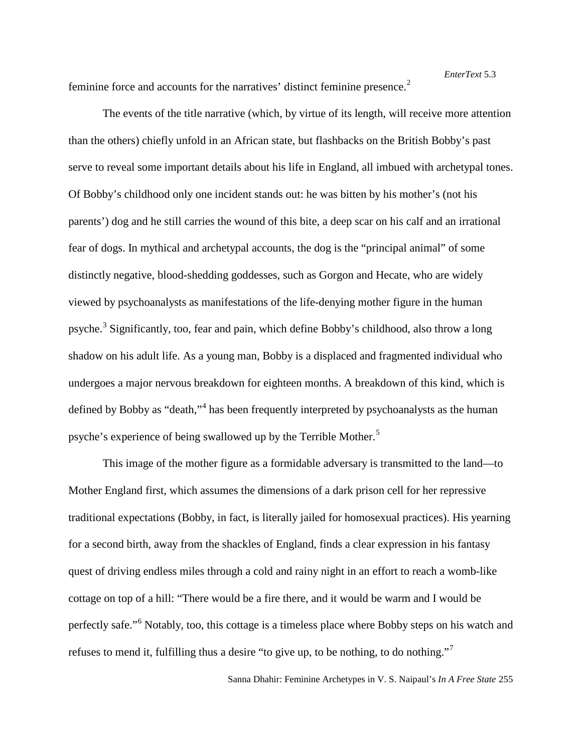feminine force and accounts for the narratives' distinct feminine presence.<sup>[2](#page-16-0)</sup>

The events of the title narrative (which, by virtue of its length, will receive more attention than the others) chiefly unfold in an African state, but flashbacks on the British Bobby's past serve to reveal some important details about his life in England, all imbued with archetypal tones. Of Bobby's childhood only one incident stands out: he was bitten by his mother's (not his parents') dog and he still carries the wound of this bite, a deep scar on his calf and an irrational fear of dogs. In mythical and archetypal accounts, the dog is the "principal animal" of some distinctly negative, blood-shedding goddesses, such as Gorgon and Hecate, who are widely viewed by psychoanalysts as manifestations of the life-denying mother figure in the human psyche.<sup>[3](#page-16-1)</sup> Significantly, too, fear and pain, which define Bobby's childhood, also throw a long shadow on his adult life. As a young man, Bobby is a displaced and fragmented individual who undergoes a major nervous breakdown for eighteen months. A breakdown of this kind, which is defined by Bobby as "death,"<sup>[4](#page-16-2)</sup> has been frequently interpreted by psychoanalysts as the human psyche's experience of being swallowed up by the Terrible Mother.<sup>[5](#page-16-3)</sup>

This image of the mother figure as a formidable adversary is transmitted to the land—to Mother England first, which assumes the dimensions of a dark prison cell for her repressive traditional expectations (Bobby, in fact, is literally jailed for homosexual practices). His yearning for a second birth, away from the shackles of England, finds a clear expression in his fantasy quest of driving endless miles through a cold and rainy night in an effort to reach a womb-like cottage on top of a hill: "There would be a fire there, and it would be warm and I would be perfectly safe."[6](#page-16-4) Notably, too, this cottage is a timeless place where Bobby steps on his watch and refuses to mend it, fulfilling thus a desire "to give up, to be nothing, to do nothing."[7](#page-16-5)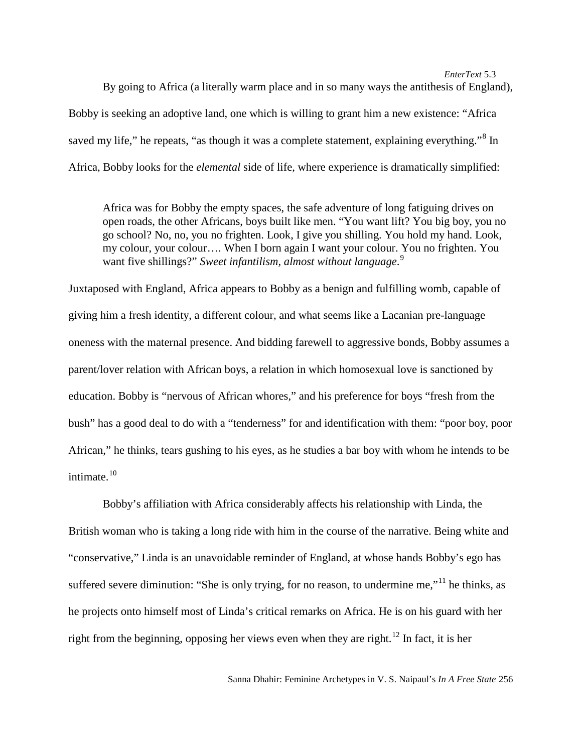By going to Africa (a literally warm place and in so many ways the antithesis of England), Bobby is seeking an adoptive land, one which is willing to grant him a new existence: "Africa saved my life," he repeats, "as though it was a complete statement, explaining everything."<sup>[8](#page-16-6)</sup> In Africa, Bobby looks for the *elemental* side of life, where experience is dramatically simplified:

Africa was for Bobby the empty spaces, the safe adventure of long fatiguing drives on open roads, the other Africans, boys built like men. "You want lift? You big boy, you no go school? No, no, you no frighten. Look, I give you shilling. You hold my hand. Look, my colour, your colour…. When I born again I want your colour. You no frighten. You want five shillings?" *Sweet infantilism, almost without language*. [9](#page-16-7)

Juxtaposed with England, Africa appears to Bobby as a benign and fulfilling womb, capable of giving him a fresh identity, a different colour, and what seems like a Lacanian pre-language oneness with the maternal presence. And bidding farewell to aggressive bonds, Bobby assumes a parent/lover relation with African boys, a relation in which homosexual love is sanctioned by education. Bobby is "nervous of African whores," and his preference for boys "fresh from the bush" has a good deal to do with a "tenderness" for and identification with them: "poor boy, poor African," he thinks, tears gushing to his eyes, as he studies a bar boy with whom he intends to be intimate. [10](#page-16-8)

Bobby's affiliation with Africa considerably affects his relationship with Linda, the British woman who is taking a long ride with him in the course of the narrative. Being white and "conservative," Linda is an unavoidable reminder of England, at whose hands Bobby's ego has suffered severe diminution: "She is only trying, for no reason, to undermine me,"<sup>[11](#page-16-9)</sup> he thinks, as he projects onto himself most of Linda's critical remarks on Africa. He is on his guard with her right from the beginning, opposing her views even when they are right.<sup>[12](#page-16-10)</sup> In fact, it is her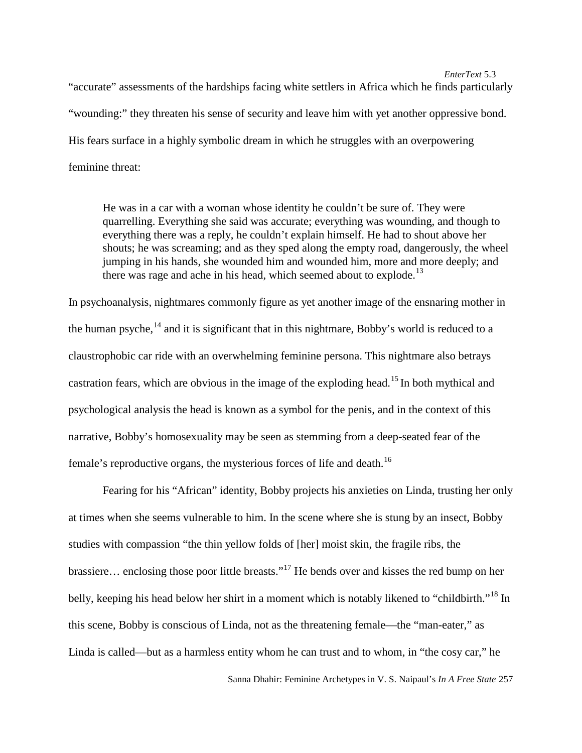"accurate" assessments of the hardships facing white settlers in Africa which he finds particularly "wounding:" they threaten his sense of security and leave him with yet another oppressive bond. His fears surface in a highly symbolic dream in which he struggles with an overpowering feminine threat:

He was in a car with a woman whose identity he couldn't be sure of. They were quarrelling. Everything she said was accurate; everything was wounding, and though to everything there was a reply, he couldn't explain himself. He had to shout above her shouts; he was screaming; and as they sped along the empty road, dangerously, the wheel jumping in his hands, she wounded him and wounded him, more and more deeply; and there was rage and ache in his head, which seemed about to explode.<sup>13</sup>

In psychoanalysis, nightmares commonly figure as yet another image of the ensnaring mother in the human psyche, <sup>[14](#page-16-12)</sup> and it is significant that in this nightmare, Bobby's world is reduced to a claustrophobic car ride with an overwhelming feminine persona. This nightmare also betrays castration fears, which are obvious in the image of the exploding head.<sup>[15](#page-16-13)</sup> In both mythical and psychological analysis the head is known as a symbol for the penis, and in the context of this narrative, Bobby's homosexuality may be seen as stemming from a deep-seated fear of the female's reproductive organs, the mysterious forces of life and death.<sup>[16](#page-16-14)</sup>

Fearing for his "African" identity, Bobby projects his anxieties on Linda, trusting her only at times when she seems vulnerable to him. In the scene where she is stung by an insect, Bobby studies with compassion "the thin yellow folds of [her] moist skin, the fragile ribs, the brassiere… enclosing those poor little breasts."[17](#page-16-15) He bends over and kisses the red bump on her belly, keeping his head below her shirt in a moment which is notably likened to "childbirth."<sup>[18](#page-16-16)</sup> In this scene, Bobby is conscious of Linda, not as the threatening female—the "man-eater," as Linda is called—but as a harmless entity whom he can trust and to whom, in "the cosy car," he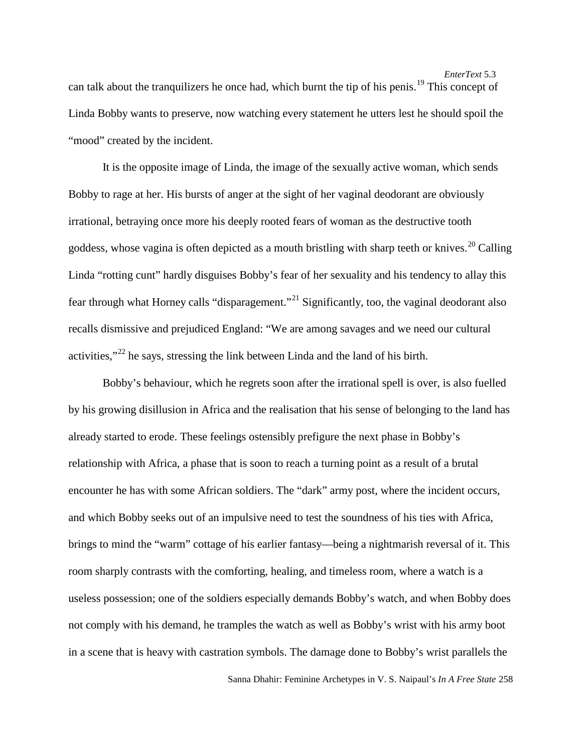can talk about the tranquilizers he once had, which burnt the tip of his penis. [19](#page-16-17) This concept of Linda Bobby wants to preserve, now watching every statement he utters lest he should spoil the "mood" created by the incident.

It is the opposite image of Linda, the image of the sexually active woman, which sends Bobby to rage at her. His bursts of anger at the sight of her vaginal deodorant are obviously irrational, betraying once more his deeply rooted fears of woman as the destructive tooth goddess, whose vagina is often depicted as a mouth bristling with sharp teeth or knives.<sup>[20](#page-16-18)</sup> Calling Linda "rotting cunt" hardly disguises Bobby's fear of her sexuality and his tendency to allay this fear through what Horney calls "disparagement."[21](#page-16-19) Significantly, too, the vaginal deodorant also recalls dismissive and prejudiced England: "We are among savages and we need our cultural activities," $^{22}$  $^{22}$  $^{22}$  he says, stressing the link between Linda and the land of his birth.

Bobby's behaviour, which he regrets soon after the irrational spell is over, is also fuelled by his growing disillusion in Africa and the realisation that his sense of belonging to the land has already started to erode. These feelings ostensibly prefigure the next phase in Bobby's relationship with Africa, a phase that is soon to reach a turning point as a result of a brutal encounter he has with some African soldiers. The "dark" army post, where the incident occurs, and which Bobby seeks out of an impulsive need to test the soundness of his ties with Africa, brings to mind the "warm" cottage of his earlier fantasy—being a nightmarish reversal of it. This room sharply contrasts with the comforting, healing, and timeless room, where a watch is a useless possession; one of the soldiers especially demands Bobby's watch, and when Bobby does not comply with his demand, he tramples the watch as well as Bobby's wrist with his army boot in a scene that is heavy with castration symbols. The damage done to Bobby's wrist parallels the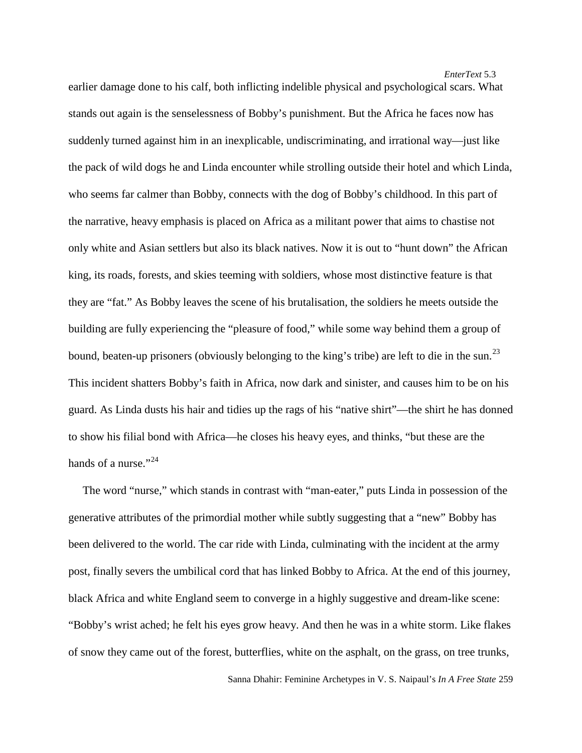earlier damage done to his calf, both inflicting indelible physical and psychological scars. What stands out again is the senselessness of Bobby's punishment. But the Africa he faces now has suddenly turned against him in an inexplicable, undiscriminating, and irrational way—just like the pack of wild dogs he and Linda encounter while strolling outside their hotel and which Linda, who seems far calmer than Bobby, connects with the dog of Bobby's childhood. In this part of the narrative, heavy emphasis is placed on Africa as a militant power that aims to chastise not only white and Asian settlers but also its black natives. Now it is out to "hunt down" the African king, its roads, forests, and skies teeming with soldiers, whose most distinctive feature is that they are "fat." As Bobby leaves the scene of his brutalisation, the soldiers he meets outside the building are fully experiencing the "pleasure of food," while some way behind them a group of bound, beaten-up prisoners (obviously belonging to the king's tribe) are left to die in the sun.<sup>[23](#page-16-21)</sup> This incident shatters Bobby's faith in Africa, now dark and sinister, and causes him to be on his guard. As Linda dusts his hair and tidies up the rags of his "native shirt"—the shirt he has donned to show his filial bond with Africa—he closes his heavy eyes, and thinks, "but these are the hands of a nurse." $^{24}$  $^{24}$  $^{24}$ 

 The word "nurse," which stands in contrast with "man-eater," puts Linda in possession of the generative attributes of the primordial mother while subtly suggesting that a "new" Bobby has been delivered to the world. The car ride with Linda, culminating with the incident at the army post, finally severs the umbilical cord that has linked Bobby to Africa. At the end of this journey, black Africa and white England seem to converge in a highly suggestive and dream-like scene: "Bobby's wrist ached; he felt his eyes grow heavy. And then he was in a white storm. Like flakes of snow they came out of the forest, butterflies, white on the asphalt, on the grass, on tree trunks,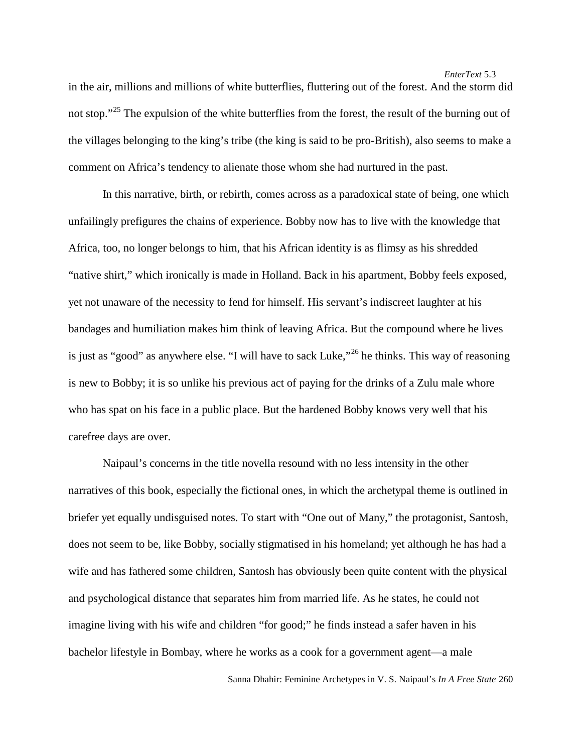in the air, millions and millions of white butterflies, fluttering out of the forest. And the storm did not stop."<sup>[25](#page-16-23)</sup> The expulsion of the white butterflies from the forest, the result of the burning out of the villages belonging to the king's tribe (the king is said to be pro-British), also seems to make a comment on Africa's tendency to alienate those whom she had nurtured in the past.

In this narrative, birth, or rebirth, comes across as a paradoxical state of being, one which unfailingly prefigures the chains of experience. Bobby now has to live with the knowledge that Africa, too, no longer belongs to him, that his African identity is as flimsy as his shredded "native shirt," which ironically is made in Holland. Back in his apartment, Bobby feels exposed, yet not unaware of the necessity to fend for himself. His servant's indiscreet laughter at his bandages and humiliation makes him think of leaving Africa. But the compound where he lives is just as "good" as anywhere else. "I will have to sack Luke,"<sup>[26](#page-16-24)</sup> he thinks. This way of reasoning is new to Bobby; it is so unlike his previous act of paying for the drinks of a Zulu male whore who has spat on his face in a public place. But the hardened Bobby knows very well that his carefree days are over.

Naipaul's concerns in the title novella resound with no less intensity in the other narratives of this book, especially the fictional ones, in which the archetypal theme is outlined in briefer yet equally undisguised notes. To start with "One out of Many," the protagonist, Santosh, does not seem to be, like Bobby, socially stigmatised in his homeland; yet although he has had a wife and has fathered some children, Santosh has obviously been quite content with the physical and psychological distance that separates him from married life. As he states, he could not imagine living with his wife and children "for good;" he finds instead a safer haven in his bachelor lifestyle in Bombay, where he works as a cook for a government agent—a male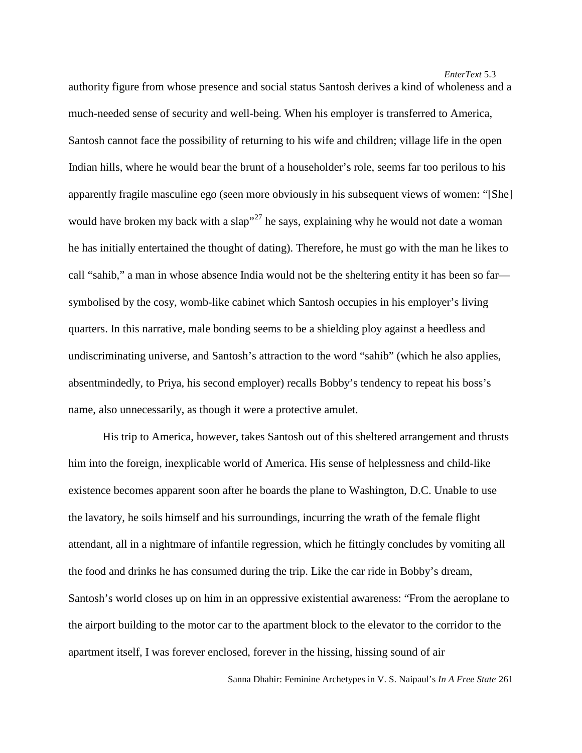authority figure from whose presence and social status Santosh derives a kind of wholeness and a much-needed sense of security and well-being. When his employer is transferred to America, Santosh cannot face the possibility of returning to his wife and children; village life in the open Indian hills, where he would bear the brunt of a householder's role, seems far too perilous to his apparently fragile masculine ego (seen more obviously in his subsequent views of women: "[She] would have broken my back with a slap<sup>"[27](#page-16-25)</sup> he says, explaining why he would not date a woman he has initially entertained the thought of dating). Therefore, he must go with the man he likes to call "sahib," a man in whose absence India would not be the sheltering entity it has been so far symbolised by the cosy, womb-like cabinet which Santosh occupies in his employer's living quarters. In this narrative, male bonding seems to be a shielding ploy against a heedless and undiscriminating universe, and Santosh's attraction to the word "sahib" (which he also applies, absentmindedly, to Priya, his second employer) recalls Bobby's tendency to repeat his boss's name, also unnecessarily, as though it were a protective amulet.

His trip to America, however, takes Santosh out of this sheltered arrangement and thrusts him into the foreign, inexplicable world of America. His sense of helplessness and child-like existence becomes apparent soon after he boards the plane to Washington, D.C. Unable to use the lavatory, he soils himself and his surroundings, incurring the wrath of the female flight attendant, all in a nightmare of infantile regression, which he fittingly concludes by vomiting all the food and drinks he has consumed during the trip. Like the car ride in Bobby's dream, Santosh's world closes up on him in an oppressive existential awareness: "From the aeroplane to the airport building to the motor car to the apartment block to the elevator to the corridor to the apartment itself, I was forever enclosed, forever in the hissing, hissing sound of air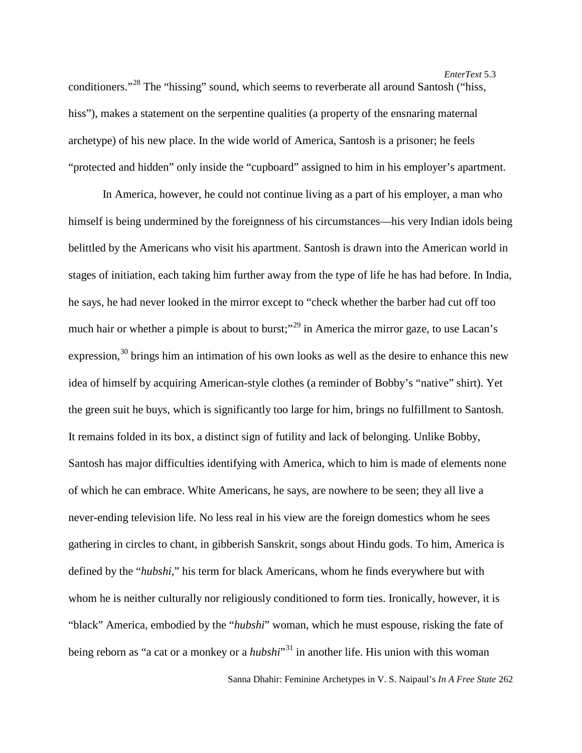conditioners."<sup>[28](#page-16-26)</sup> The "hissing" sound, which seems to reverberate all around Santosh ("hiss, hiss"), makes a statement on the serpentine qualities (a property of the ensnaring maternal archetype) of his new place. In the wide world of America, Santosh is a prisoner; he feels "protected and hidden" only inside the "cupboard" assigned to him in his employer's apartment.

In America, however, he could not continue living as a part of his employer, a man who himself is being undermined by the foreignness of his circumstances—his very Indian idols being belittled by the Americans who visit his apartment. Santosh is drawn into the American world in stages of initiation, each taking him further away from the type of life he has had before. In India, he says, he had never looked in the mirror except to "check whether the barber had cut off too much hair or whether a pimple is about to burst;<sup>"[29](#page-16-27)</sup> in America the mirror gaze, to use Lacan's expression, $30$  brings him an intimation of his own looks as well as the desire to enhance this new idea of himself by acquiring American-style clothes (a reminder of Bobby's "native" shirt). Yet the green suit he buys, which is significantly too large for him, brings no fulfillment to Santosh. It remains folded in its box, a distinct sign of futility and lack of belonging. Unlike Bobby, Santosh has major difficulties identifying with America, which to him is made of elements none of which he can embrace. White Americans, he says, are nowhere to be seen; they all live a never-ending television life. No less real in his view are the foreign domestics whom he sees gathering in circles to chant, in gibberish Sanskrit, songs about Hindu gods. To him, America is defined by the "*hubshi*," his term for black Americans, whom he finds everywhere but with whom he is neither culturally nor religiously conditioned to form ties. Ironically, however, it is "black" America, embodied by the "*hubshi*" woman, which he must espouse, risking the fate of being reborn as "a cat or a monkey or a *hubshi*"<sup>[31](#page-16-29)</sup> in another life. His union with this woman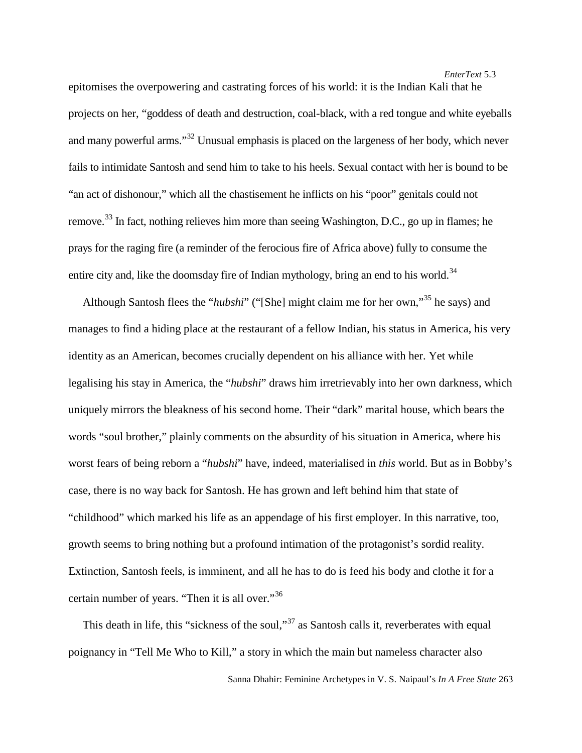epitomises the overpowering and castrating forces of his world: it is the Indian Kali that he projects on her, "goddess of death and destruction, coal-black, with a red tongue and white eyeballs and many powerful arms."<sup>[32](#page-16-30)</sup> Unusual emphasis is placed on the largeness of her body, which never fails to intimidate Santosh and send him to take to his heels. Sexual contact with her is bound to be "an act of dishonour," which all the chastisement he inflicts on his "poor" genitals could not remove.<sup>[33](#page-16-31)</sup> In fact, nothing relieves him more than seeing Washington, D.C., go up in flames; he prays for the raging fire (a reminder of the ferocious fire of Africa above) fully to consume the entire city and, like the doomsday fire of Indian mythology, bring an end to his world.<sup>[34](#page-16-32)</sup>

 Although Santosh flees the "*hubshi*" ("[She] might claim me for her own,"[35](#page-16-33) he says) and manages to find a hiding place at the restaurant of a fellow Indian, his status in America, his very identity as an American, becomes crucially dependent on his alliance with her. Yet while legalising his stay in America, the "*hubshi*" draws him irretrievably into her own darkness, which uniquely mirrors the bleakness of his second home. Their "dark" marital house, which bears the words "soul brother," plainly comments on the absurdity of his situation in America, where his worst fears of being reborn a "*hubshi*" have, indeed, materialised in *this* world. But as in Bobby's case, there is no way back for Santosh. He has grown and left behind him that state of "childhood" which marked his life as an appendage of his first employer. In this narrative, too, growth seems to bring nothing but a profound intimation of the protagonist's sordid reality. Extinction, Santosh feels, is imminent, and all he has to do is feed his body and clothe it for a certain number of years. "Then it is all over."[36](#page-16-34)

This death in life, this "sickness of the soul,"<sup>[37](#page-16-35)</sup> as Santosh calls it, reverberates with equal poignancy in "Tell Me Who to Kill," a story in which the main but nameless character also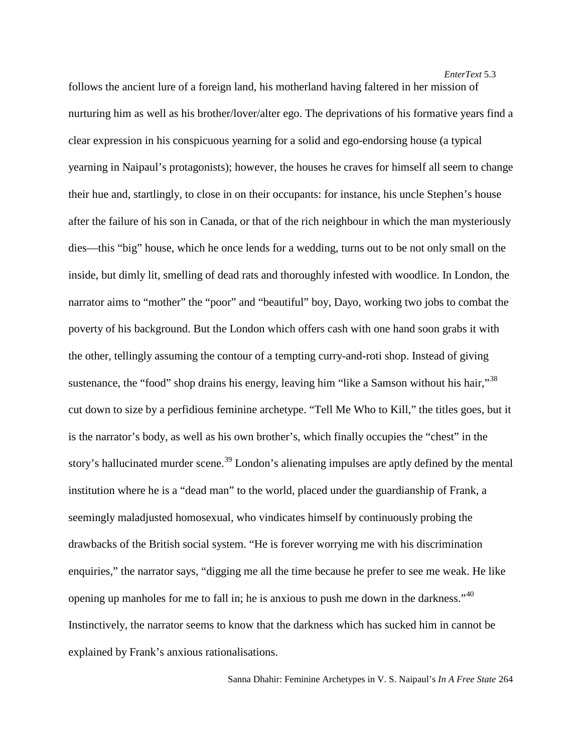follows the ancient lure of a foreign land, his motherland having faltered in her mission of nurturing him as well as his brother/lover/alter ego. The deprivations of his formative years find a clear expression in his conspicuous yearning for a solid and ego-endorsing house (a typical yearning in Naipaul's protagonists); however, the houses he craves for himself all seem to change their hue and, startlingly, to close in on their occupants: for instance, his uncle Stephen's house after the failure of his son in Canada, or that of the rich neighbour in which the man mysteriously dies—this "big" house, which he once lends for a wedding, turns out to be not only small on the inside, but dimly lit, smelling of dead rats and thoroughly infested with woodlice. In London, the narrator aims to "mother" the "poor" and "beautiful" boy, Dayo, working two jobs to combat the poverty of his background. But the London which offers cash with one hand soon grabs it with the other, tellingly assuming the contour of a tempting curry-and-roti shop. Instead of giving sustenance, the "food" shop drains his energy, leaving him "like a Samson without his hair,"<sup>[38](#page-16-36)</sup> cut down to size by a perfidious feminine archetype. "Tell Me Who to Kill," the titles goes, but it is the narrator's body, as well as his own brother's, which finally occupies the "chest" in the story's hallucinated murder scene.<sup>[39](#page-16-37)</sup> London's alienating impulses are aptly defined by the mental institution where he is a "dead man" to the world, placed under the guardianship of Frank, a seemingly maladjusted homosexual, who vindicates himself by continuously probing the drawbacks of the British social system. "He is forever worrying me with his discrimination enquiries," the narrator says, "digging me all the time because he prefer to see me weak. He like opening up manholes for me to fall in; he is anxious to push me down in the darkness."<sup>[40](#page-16-38)</sup> Instinctively, the narrator seems to know that the darkness which has sucked him in cannot be explained by Frank's anxious rationalisations.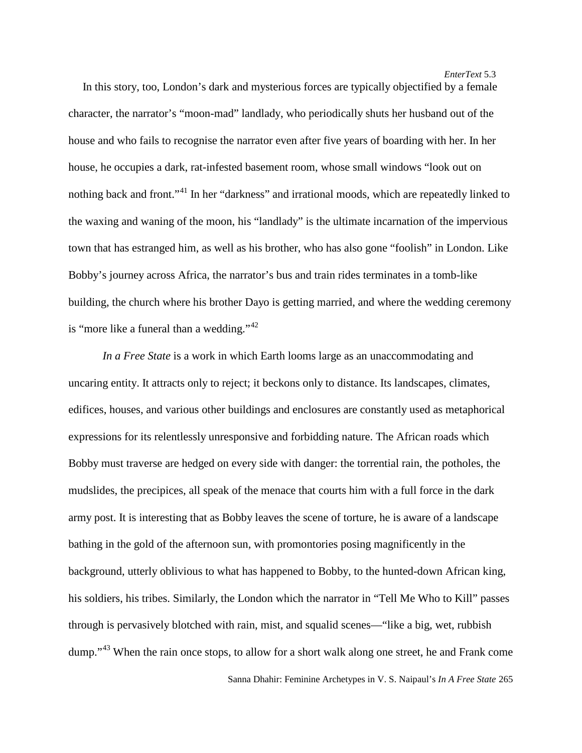In this story, too, London's dark and mysterious forces are typically objectified by a female character, the narrator's "moon-mad" landlady, who periodically shuts her husband out of the house and who fails to recognise the narrator even after five years of boarding with her. In her house, he occupies a dark, rat-infested basement room, whose small windows "look out on nothing back and front."<sup>[41](#page-16-39)</sup> In her "darkness" and irrational moods, which are repeatedly linked to the waxing and waning of the moon, his "landlady" is the ultimate incarnation of the impervious town that has estranged him, as well as his brother, who has also gone "foolish" in London. Like Bobby's journey across Africa, the narrator's bus and train rides terminates in a tomb-like building, the church where his brother Dayo is getting married, and where the wedding ceremony is "more like a funeral than a wedding." $42$ 

*In a Free State* is a work in which Earth looms large as an unaccommodating and uncaring entity. It attracts only to reject; it beckons only to distance. Its landscapes, climates, edifices, houses, and various other buildings and enclosures are constantly used as metaphorical expressions for its relentlessly unresponsive and forbidding nature. The African roads which Bobby must traverse are hedged on every side with danger: the torrential rain, the potholes, the mudslides, the precipices, all speak of the menace that courts him with a full force in the dark army post. It is interesting that as Bobby leaves the scene of torture, he is aware of a landscape bathing in the gold of the afternoon sun, with promontories posing magnificently in the background, utterly oblivious to what has happened to Bobby, to the hunted-down African king, his soldiers, his tribes. Similarly, the London which the narrator in "Tell Me Who to Kill" passes through is pervasively blotched with rain, mist, and squalid scenes—"like a big, wet, rubbish dump."<sup>[43](#page-16-41)</sup> When the rain once stops, to allow for a short walk along one street, he and Frank come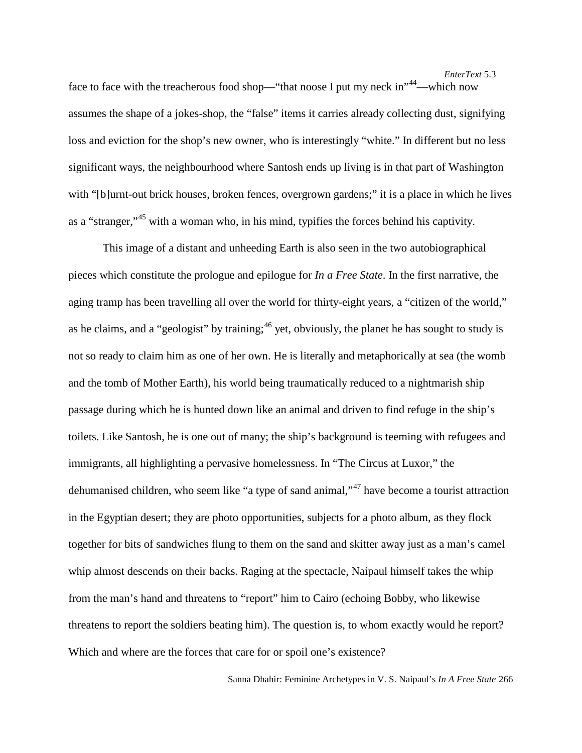face to face with the treacherous food shop—"that noose I put my neck in"<sup>44</sup>—which now assumes the shape of a jokes-shop, the "false" items it carries already collecting dust, signifying loss and eviction for the shop's new owner, who is interestingly "white." In different but no less significant ways, the neighbourhood where Santosh ends up living is in that part of Washington with "[b]urnt-out brick houses, broken fences, overgrown gardens;" it is a place in which he lives as a "stranger,"[45](#page-16-43) with a woman who, in his mind, typifies the forces behind his captivity.

This image of a distant and unheeding Earth is also seen in the two autobiographical pieces which constitute the prologue and epilogue for *In a Free State*. In the first narrative, the aging tramp has been travelling all over the world for thirty-eight years, a "citizen of the world," as he claims, and a "geologist" by training;<sup>[46](#page-16-44)</sup> yet, obviously, the planet he has sought to study is not so ready to claim him as one of her own. He is literally and metaphorically at sea (the womb and the tomb of Mother Earth), his world being traumatically reduced to a nightmarish ship passage during which he is hunted down like an animal and driven to find refuge in the ship's toilets. Like Santosh, he is one out of many; the ship's background is teeming with refugees and immigrants, all highlighting a pervasive homelessness. In "The Circus at Luxor," the dehumanised children, who seem like "a type of sand animal,"[47](#page-16-45) have become a tourist attraction in the Egyptian desert; they are photo opportunities, subjects for a photo album, as they flock together for bits of sandwiches flung to them on the sand and skitter away just as a man's camel whip almost descends on their backs. Raging at the spectacle, Naipaul himself takes the whip from the man's hand and threatens to "report" him to Cairo (echoing Bobby, who likewise threatens to report the soldiers beating him). The question is, to whom exactly would he report? Which and where are the forces that care for or spoil one's existence?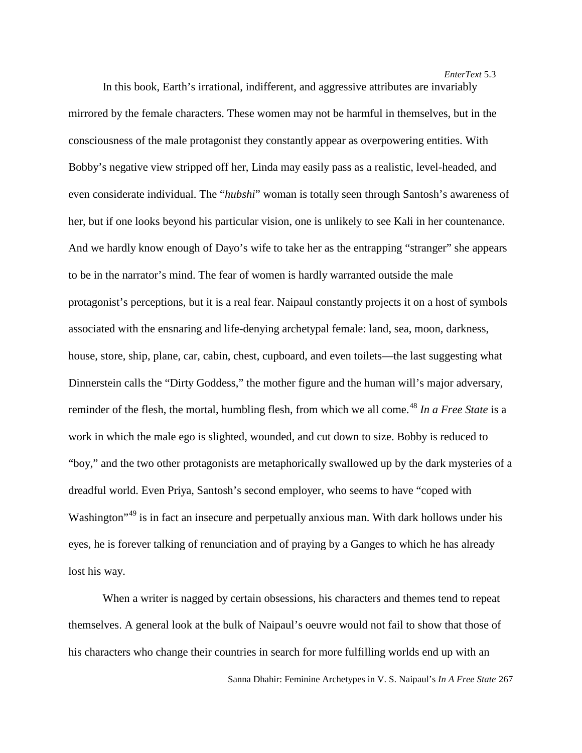In this book, Earth's irrational, indifferent, and aggressive attributes are invariably mirrored by the female characters. These women may not be harmful in themselves, but in the consciousness of the male protagonist they constantly appear as overpowering entities. With Bobby's negative view stripped off her, Linda may easily pass as a realistic, level-headed, and even considerate individual. The "*hubshi*" woman is totally seen through Santosh's awareness of her, but if one looks beyond his particular vision, one is unlikely to see Kali in her countenance. And we hardly know enough of Dayo's wife to take her as the entrapping "stranger" she appears to be in the narrator's mind. The fear of women is hardly warranted outside the male protagonist's perceptions, but it is a real fear. Naipaul constantly projects it on a host of symbols associated with the ensnaring and life-denying archetypal female: land, sea, moon, darkness, house, store, ship, plane, car, cabin, chest, cupboard, and even toilets—the last suggesting what Dinnerstein calls the "Dirty Goddess," the mother figure and the human will's major adversary, reminder of the flesh, the mortal, humbling flesh, from which we all come. [48](#page-16-46) *In a Free State* is a work in which the male ego is slighted, wounded, and cut down to size. Bobby is reduced to "boy," and the two other protagonists are metaphorically swallowed up by the dark mysteries of a dreadful world. Even Priya, Santosh's second employer, who seems to have "coped with Washington<sup>"[49](#page-16-47)</sup> is in fact an insecure and perpetually anxious man. With dark hollows under his eyes, he is forever talking of renunciation and of praying by a Ganges to which he has already lost his way.

When a writer is nagged by certain obsessions, his characters and themes tend to repeat themselves. A general look at the bulk of Naipaul's oeuvre would not fail to show that those of his characters who change their countries in search for more fulfilling worlds end up with an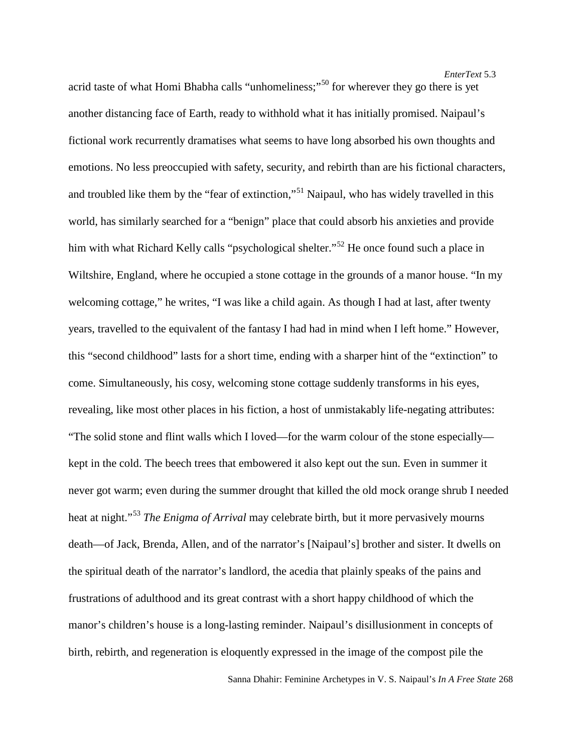*EnterText* 5.3

acrid taste of what Homi Bhabha calls "unhomeliness;"<sup>[50](#page-16-48)</sup> for wherever they go there is yet another distancing face of Earth, ready to withhold what it has initially promised. Naipaul's fictional work recurrently dramatises what seems to have long absorbed his own thoughts and emotions. No less preoccupied with safety, security, and rebirth than are his fictional characters, and troubled like them by the "fear of extinction,"<sup>[51](#page-16-49)</sup> Naipaul, who has widely travelled in this world, has similarly searched for a "benign" place that could absorb his anxieties and provide him with what Richard Kelly calls "psychological shelter."<sup>[52](#page-16-50)</sup> He once found such a place in Wiltshire, England, where he occupied a stone cottage in the grounds of a manor house. "In my welcoming cottage," he writes, "I was like a child again. As though I had at last, after twenty years, travelled to the equivalent of the fantasy I had had in mind when I left home." However, this "second childhood" lasts for a short time, ending with a sharper hint of the "extinction" to come. Simultaneously, his cosy, welcoming stone cottage suddenly transforms in his eyes, revealing, like most other places in his fiction, a host of unmistakably life-negating attributes: "The solid stone and flint walls which I loved—for the warm colour of the stone especially kept in the cold. The beech trees that embowered it also kept out the sun. Even in summer it never got warm; even during the summer drought that killed the old mock orange shrub I needed heat at night."[53](#page-16-51) *The Enigma of Arrival* may celebrate birth, but it more pervasively mourns death—of Jack, Brenda, Allen, and of the narrator's [Naipaul's] brother and sister. It dwells on the spiritual death of the narrator's landlord, the acedia that plainly speaks of the pains and frustrations of adulthood and its great contrast with a short happy childhood of which the manor's children's house is a long-lasting reminder. Naipaul's disillusionment in concepts of birth, rebirth, and regeneration is eloquently expressed in the image of the compost pile the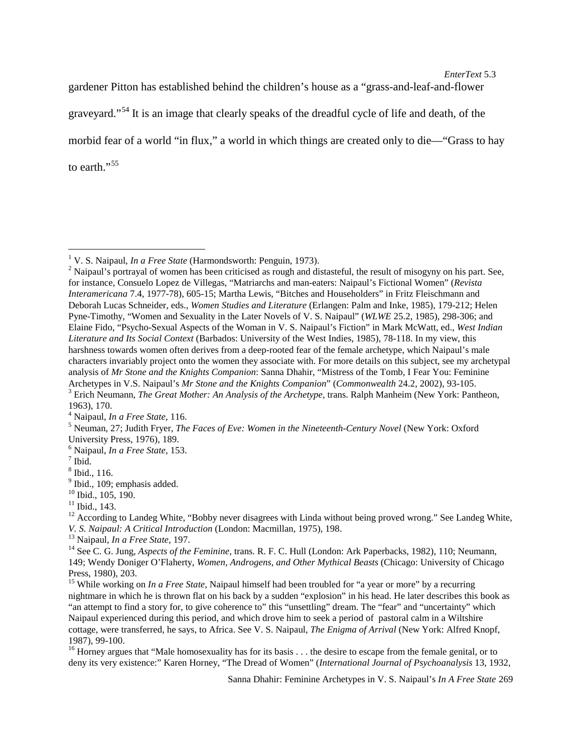gardener Pitton has established behind the children's house as a "grass-and-leaf-and-flower

graveyard."[54](#page-16-52) It is an image that clearly speaks of the dreadful cycle of life and death, of the

morbid fear of a world "in flux," a world in which things are created only to die—"Grass to hay

to earth."<sup>[55](#page-16-53)</sup>

<span id="page-15-0"></span><sup>&</sup>lt;sup>1</sup> V. S. Naipaul, *In a Free State* (Harmondsworth: Penguin, 1973). <sup>2</sup> Naipaul's portrayal of women has been criticised as rough and distasteful, the result of misogyny on his part. See, for instance, Consuelo Lopez de Villegas, "Matriarchs and man-eaters: Naipaul's Fictional Women" (*Revista Interamericana* 7.4, 1977-78), 605-15; Martha Lewis, "Bitches and Householders" in Fritz Fleischmann and Deborah Lucas Schneider, eds., *Women Studies and Literature* (Erlangen: Palm and Inke, 1985), 179-212; Helen Pyne-Timothy, "Women and Sexuality in the Later Novels of V. S. Naipaul" (*WLWE* 25.2, 1985), 298-306; and Elaine Fido, "Psycho-Sexual Aspects of the Woman in V. S. Naipaul's Fiction" in Mark McWatt, ed., *West Indian Literature and Its Social Context* (Barbados: University of the West Indies, 1985), 78-118. In my view, this harshness towards women often derives from a deep-rooted fear of the female archetype, which Naipaul's male characters invariably project onto the women they associate with. For more details on this subject, see my archetypal analysis of *Mr Stone and the Knights Companion*: Sanna Dhahir, "Mistress of the Tomb, I Fear You: Feminine Archetypes in V.S. Naipaul's *Mr Stone and the Knights Companion*" (*Commonwealth* 24.2, 2002), 93-105.<br><sup>3</sup> Erich Neumann, *The Great Mother: An Analysis of the Archetype*, trans. Ralph Manheim (New York: Pantheon,

<sup>1963), 170.&</sup>lt;br><sup>4</sup> Naipaul, *In a Free State*, 116.

<sup>&</sup>lt;sup>5</sup> Neuman, 27; Judith Fryer, *The Faces of Eve: Women in the Nineteenth-Century Novel* (New York: Oxford University Press, 1976), 189.

<sup>&</sup>lt;sup>6</sup> Naipaul, *In a Free State*, 153. <sup>7</sup> Ibid., 116.

<sup>&</sup>lt;sup>9</sup> Ibid., 109; emphasis added.<br><sup>10</sup> Ibid., 105, 190.<br><sup>11</sup> Ibid., 143.<br><sup>12</sup> According to Landeg White, "Bobby never disagrees with Linda without being proved wrong." See Landeg White,<br>*V. S. Naipaul: A Critical Introducti* 

<sup>&</sup>lt;sup>13</sup> Naipaul, *In a Free State*, 197.<br><sup>14</sup> See C. G. Jung, *Aspects of the Feminine*, trans. R. F. C. Hull (London: Ark Paperbacks, 1982), 110; Neumann, 149; Wendy Doniger O'Flaherty, *Women, Androgens, and Other Mythical Beasts* (Chicago: University of Chicago Press, 1980), 203.

<sup>&</sup>lt;sup>15</sup> While working on *In a Free State*, Naipaul himself had been troubled for "a year or more" by a recurring nightmare in which he is thrown flat on his back by a sudden "explosion" in his head. He later describes this book as "an attempt to find a story for, to give coherence to" this "unsettling" dream. The "fear" and "uncertainty" which Naipaul experienced during this period, and which drove him to seek a period of pastoral calm in a Wiltshire cottage, were transferred, he says, to Africa. See V. S. Naipaul, *The Enigma of Arrival* (New York: Alfred Knopf, 1987), 99-100.<br><sup>16</sup> Horney argues that "Male homosexuality has for its basis . . . the desire to escape from the female genital, or to

deny its very existence:" Karen Horney, "The Dread of Women" (*International Journal of Psychoanalysis* 13, 1932,